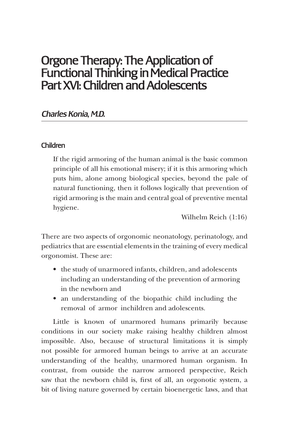# Orgone Therapy: The Application of Functional Thinking in Medical Practice Part XVI: Children and Adolescents

# *Charles Konia, M.D.*

# Children

If the rigid armoring of the human animal is the basic common principle of all his emotional misery; if it is this armoring which puts him, alone among biological species, beyond the pale of natural functioning, then it follows logically that prevention of rigid armoring is the main and central goal of preventive mental hygiene.

Wilhelm Reich (1:16)

There are two aspects of orgonomic neonatology, perinatology, and pediatrics that are essential elements in the training of every medical orgonomist. These are:

- the study of unarmored infants, children, and adolescents including an understanding of the prevention of armoring in the newborn and
- an understanding of the biopathic child including the removal of armor in children and adolescents.

Little is known of unarmored humans primarily because conditions in our society make raising healthy children almost impossible. Also, because of structural limitations it is simply not possible for armored human beings to arrive at an accurate understanding of the healthy, unarmored human organism. In contrast, from outside the narrow armored perspective, Reich saw that the newborn child is, first of all, an orgonotic system, a bit of living nature governed by certain bioenergetic laws, and that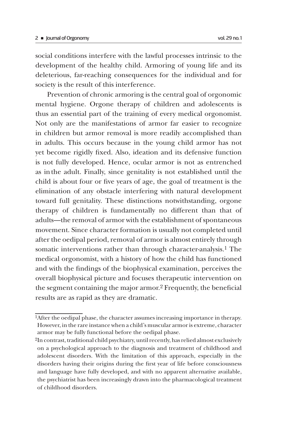social conditions interfere with the lawful processes intrinsic to the development of the healthy child. Armoring of young life and its deleterious, far-reaching consequences for the individual and for society is the result of this interference.

Prevention of chronic armoring is the central goal of orgonomic mental hygiene. Orgone therapy of children and adolescents is thus an essential part of the training of every medical orgonomist. Not only are the manifestations of armor far easier to recognize in children but armor removal is more readily accomplished than in adults. This occurs because in the young child armor has not yet become rigidly fixed. Also, ideation and its defensive function is not fully developed. Hence, ocular armor is not as entrenched as in the adult. Finally, since genitality is not established until the child is about four or five years of age, the goal of treatment is the elimination of any obstacle interfering with natural development toward full genitality. These distinctions notwithstanding, orgone therapy of children is fundamentally no different than that of adults—the removal of armor with the establishment of spontaneous movement. Since character formation is usually not completed until after the oedipal period, removal of armor is almost entirely through somatic interventions rather than through character-analysis.<sup>1</sup> The medical orgonomist, with a history of how the child has functioned and with the findings of the biophysical examination, perceives the overall biophysical picture and focuses therapeutic intervention on the segment containing the major armor.2 Frequently, the beneficial results are as rapid as they are dramatic.

<sup>1</sup>After the oedipal phase, the character assumes increasing importance in therapy. However, in the rare instance when a child's muscular armor is extreme, character armor may be fully functional before the oedipal phase.

<sup>2</sup>In contrast, traditional child psychiatry, until recently, has relied almost exclusively on a psychological approach to the diagnosis and treatment of childhood and adolescent disorders. With the limitation of this approach, especially in the disorders having their origins during the first year of life before consciousness and language have fully developed, and with no apparent alternative available, the psychiatrist has been increasingly drawn into the pharmacological treatment of childhood disorders.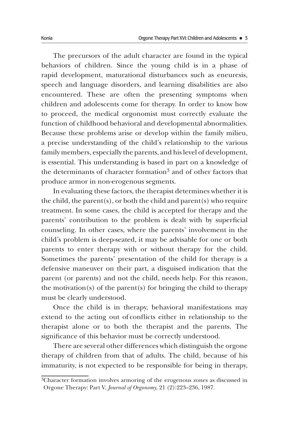The precursors of the adult character are found in the typical behaviors of children. Since the young child is in a phase of rapid development, maturational disturbances such as eneuresis, speech and language disorders, and learning disabilities are also encountered. These are often the presenting symptoms when children and adolescents come for therapy. In order to know how to proceed, the medical orgonomist must correctly evaluate the function of childhood behavioral and developmental abnormalities. Because these problems arise or develop within the family milieu, a precise understanding of the child's relationship to the various family members, especially the parents, and his level of development, is essential. This understanding is based in part on a knowledge of the determinants of character formation3 and of other factors that produce armor in non-erogenous segments.

In evaluating these factors, the therapist determines whether it is the child, the parent(s), or both the child and parent(s) who require treatment. In some cases, the child is accepted for therapy and the parents' contribution to the problem is dealt with by superficial counseling. In other cases, where the parents' involvement in the child's problem is deep-seated, it may be advisable for one or both parents to enter therapy with or without therapy for the child. Sometimes the parents' presentation of the child for therapy is a defensive maneuver on their part, a disguised indication that the parent (or parents) and not the child, needs help. For this reason, the motivation(s) of the parent(s) for bringing the child to therapy must be clearly understood.

Once the child is in therapy, behavioral manifestations may extend to the acting out of conflicts either in relationship to the therapist alone or to both the therapist and the parents. The significance of this behavior must be correctly understood.

There are several other differences which distinguish the orgone therapy of children from that of adults. The child, because of his immaturity, is not expected to be responsible for being in therapy,

<sup>3</sup>Character formation involves armoring of the erogenous zones as discussed in Orgone Therapy: Part V, *Journal of Orgonomy*, 21 (2):223–236, 1987.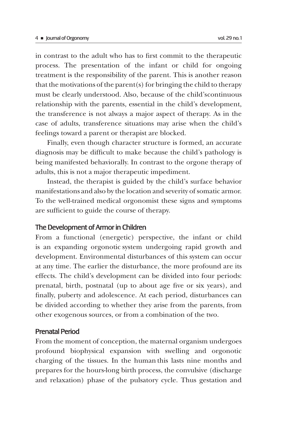in contrast to the adult who has to first commit to the therapeutic process. The presentation of the infant or child for ongoing treatment is the responsibility of the parent. This is another reason that the motivations of the parent(s) for bringing the child to therapy must be clearly understood. Also, because of the child's continuous relationship with the parents, essential in the child's development, the transference is not always a major aspect of therapy. As in the case of adults, transference situations may arise when the child's feelings toward a parent or therapist are blocked.

Finally, even though character structure is formed, an accurate diagnosis may be difficult to make because the child's pathology is being manifested behaviorally. In contrast to the orgone therapy of adults, this is not a major therapeutic impediment.

Instead, the therapist is guided by the child's surface behavior manifestations and also by the location and severity of somatic armor. To the well-trained medical orgonomist these signs and symptoms are sufficient to guide the course of therapy.

# The Development of Armor in Children

From a functional (energetic) perspective, the infant or child is an expanding orgonotic system undergoing rapid growth and development. Environmental disturbances of this system can occur at any time. The earlier the disturbance, the more profound are its effects. The child's development can be divided into four periods: prenatal, birth, postnatal (up to about age five or six years), and finally, puberty and adolescence. At each period, disturbances can be divided according to whether they arise from the parents, from other exogenous sources, or from a combination of the two.

## Prenatal Period

From the moment of conception, the maternal organism undergoes profound biophysical expansion with swelling and orgonotic charging of the tissues. In the human this lasts nine months and prepares for the hours-long birth process, the convulsive (discharge and relaxation) phase of the pulsatory cycle. Thus gestation and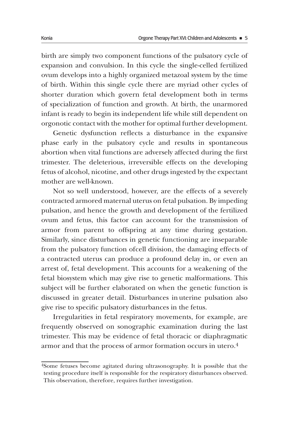birth are simply two component functions of the pulsatory cycle of expansion and convulsion. In this cycle the single-celled fertilized ovum develops into a highly organized metazoal system by the time of birth. Within this single cycle there are myriad other cycles of shorter duration which govern fetal development both in terms of specialization of function and growth. At birth, the unarmored infant is ready to begin its independent life while still dependent on orgonotic contact with the mother for optimal further development.

Genetic dysfunction reflects a disturbance in the expansive phase early in the pulsatory cycle and results in spontaneous abortion when vital functions are adversely affected during the first trimester. The deleterious, irreversible effects on the developing fetus of alcohol, nicotine, and other drugs ingested by the expectant mother are well-known.

Not so well understood, however, are the effects of a severely contracted armored maternal uterus on fetal pulsation. By impeding pulsation, and hence the growth and development of the fertilized ovum and fetus, this factor can account for the transmission of armor from parent to offspring at any time during gestation. Similarly, since disturbances in genetic functioning are inseparable from the pulsatory function of cell division, the damaging effects of a contracted uterus can produce a profound delay in, or even an arrest of, fetal development. This accounts for a weakening of the fetal biosystem which may give rise to genetic malformations. This subject will be further elaborated on when the genetic function is discussed in greater detail. Disturbances in uterine pulsation also give rise to specific pulsatory disturbances in the fetus.

Irregularities in fetal respiratory movements, for example, are frequently observed on sonographic examination during the last trimester. This may be evidence of fetal thoracic or diaphragmatic armor and that the process of armor formation occurs in utero.4

<sup>4</sup>Some fetuses become agitated during ultrasonography. It is possible that the testing procedure itself is responsible for the respiratory disturbances observed. This observation, therefore, requires further investigation.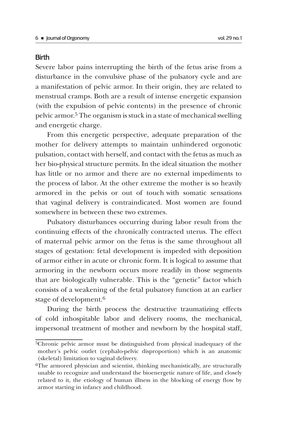# **Birth**

Severe labor pains interrupting the birth of the fetus arise from a disturbance in the convulsive phase of the pulsatory cycle and are a manifestation of pelvic armor. In their origin, they are related to menstrual cramps. Both are a result of intense energetic expansion (with the expulsion of pelvic contents) in the presence of chronic pelvic armor.5 The organism is stuck in a state of mechanical swelling and energetic charge.

From this energetic perspective, adequate preparation of the mother for delivery attempts to maintain unhindered orgonotic pulsation, contact with herself, and contact with the fetus as much as her bio-physical structure permits. In the ideal situation the mother has little or no armor and there are no external impediments to the process of labor. At the other extreme the mother is so heavily armored in the pelvis or out of touch with somatic sensations that vaginal delivery is contraindicated. Most women are found somewhere in between these two extremes.

Pulsatory disturbances occurring during labor result from the continuing effects of the chronically contracted uterus. The effect of maternal pelvic armor on the fetus is the same throughout all stages of gestation: fetal development is impeded with deposition of armor either in acute or chronic form. It is logical to assume that armoring in the newborn occurs more readily in those segments that are biologically vulnerable. This is the "genetic" factor which consists of a weakening of the fetal pulsatory function at an earlier stage of development.6

During the birth process the destructive traumatizing effects of cold inhospitable labor and delivery rooms, the mechanical, impersonal treatment of mother and newborn by the hospital staff,

<sup>5</sup>Chronic pelvic armor must be distinguished from physical inadequacy of the mother's pelvic outlet (cephalo-pelvic disproportion) which is an anatomic (skeletal) limitation to vaginal delivery.

<sup>6</sup>The armored physician and scientist, thinking mechanistically, are structurally unable to recognize and understand the bioenergetic nature of life, and closely related to it, the etiology of human illness in the blocking of energy flow by armor starting in infancy and childhood.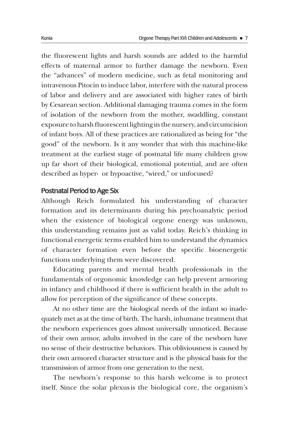the fluorescent lights and harsh sounds are added to the harmful effects of maternal armor to further damage the newborn. Even the "advances" of modern medicine, such as fetal monitoring and intravenous Pitocin to induce labor, interfere with the natural process of labor and delivery and are associated with higher rates of birth by Cesarean section. Additional damaging trauma comes in the form of isolation of the newborn from the mother, swaddling, constant exposure to harsh fluorescent lighting in the nursery, and circumcision of infant boys. All of these practices are rationalized as being for "the good" of the newborn. Is it any wonder that with this machine-like treatment at the earliest stage of postnatal life many children grow up far short of their biological, emotional potential, and are often described as hyper- or hypoactive, "wired," or unfocused?

## Postnatal Period to Age Six

Although Reich formulated his understanding of character formation and its determinants during his psychoanalytic period when the existence of biological orgone energy was unknown, this understanding remains just as valid today. Reich's thinking in functional energetic terms enabled him to understand the dynamics of character formation even before the specific bioenergetic functions underlying them were discovered.

Educating parents and mental health professionals in the fundamentals of orgonomic knowledge can help prevent armoring in infancy and childhood if there is sufficient health in the adult to allow for perception of the significance of these concepts.

At no other time are the biological needs of the infant so inadequately met as at the time of birth. The harsh, inhumane treatment that the newborn experiences goes almost universally unnoticed. Because of their own armor, adults involved in the care of the newborn have no sense of their destructive behaviors. This obliviousness is caused by their own armored character structure and is the physical basis for the transmission of armor from one generation to the next.

The newborn's response to this harsh welcome is to protect itself. Since the solar plexus is the biological core, the organism's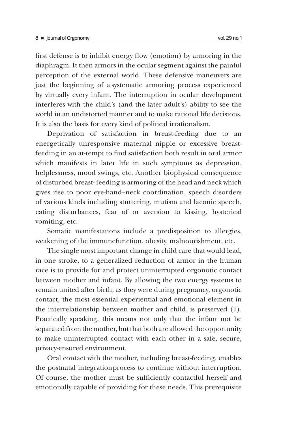first defense is to inhibit energy flow (emotion) by armoring in the diaphragm. It then armors in the ocular segment against the painful perception of the external world. These defensive maneuvers are just the beginning of a systematic armoring process experienced

by virtually every infant. The interruption in ocular development interferes with the child's (and the later adult's) ability to see the world in an undistorted manner and to make rational life decisions. It is also the basis for every kind of political irrationalism.

Deprivation of satisfaction in breast-feeding due to an energetically unresponsive maternal nipple or excessive breastfeeding in an at-tempt to find satisfaction both result in oral armor which manifests in later life in such symptoms as depression, helplessness, mood swings, etc. Another biophysical consequence of disturbed breast- feeding is armoring of the head and neck which gives rise to poor eye-hand--neck coordination, speech disorders of various kinds including stuttering, mutism and laconic speech, eating disturbances, fear of or aversion to kissing, hysterical vomiting, etc.

Somatic manifestations include a predisposition to allergies, weakening of the immune function, obesity, malnourishment, etc.

The single most important change in child care that would lead, in one stroke, to a generalized reduction of armor in the human race is to provide for and protect uninterrupted orgonotic contact between mother and infant. By allowing the two energy systems to remain united after birth, as they were during pregnancy, orgonotic contact, the most essential experiential and emotional element in the interrelationship between mother and child, is preserved (1). Practically speaking, this means not only that the infant not be separated from the mother, but that both are allowed the opportunity to make uninterrupted contact with each other in a safe, secure, privacy-ensured environment.

Oral contact with the mother, including breast-feeding, enables the postnatal integration process to continue without interruption. Of course, the mother must be sufficiently contactful herself and emotionally capable of providing for these needs. This prerequisite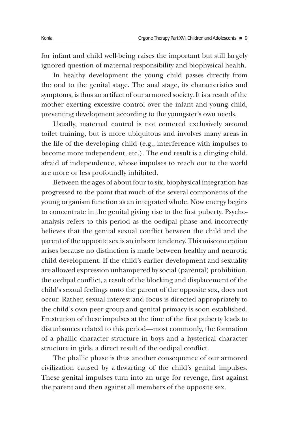for infant and child well-being raises the important but still largely ignored question of maternal responsibility and biophysical health.

In healthy development the young child passes directly from the oral to the genital stage. The anal stage, its characteristics and symptoms, is thus an artifact of our armored society. It is a result of the mother exerting excessive control over the infant and young child, preventing development according to the youngster's own needs.

Usually, maternal control is not centered exclusively around toilet training, but is more ubiquitous and involves many areas in the life of the developing child (e.g., interference with impulses to become more independent, etc.). The end result is a clinging child, afraid of independence, whose impulses to reach out to the world are more or less profoundly inhibited.

Between the ages of about four to six, biophysical integration has progressed to the point that much of the several components of the young organism function as an integrated whole. Now energy begins to concentrate in the genital giving rise to the first puberty. Psychoanalysis refers to this period as the oedipal phase and incorrectly believes that the genital sexual conflict between the child and the parent of the opposite sex is an inborn tendency. This misconception arises because no distinction is made between healthy and neurotic child development. If the child's earlier development and sexuality are allowed expression unhampered by social (parental) prohibition, the oedipal conflict, a result of the blocking and displacement of the child's sexual feelings onto the parent of the opposite sex, does not occur. Rather, sexual interest and focus is directed appropriately to the child's own peer group and genital primacy is soon established. Frustration of these impulses at the time of the first puberty leads to disturbances related to this period—most commonly, the formation of a phallic character structure in boys and a hysterical character structure in girls, a direct result of the oedipal conflict.

The phallic phase is thus another consequence of our armored civilization caused by a thwarting of the child's genital impulses. These genital impulses turn into an urge for revenge, first against the parent and then against all members of the opposite sex.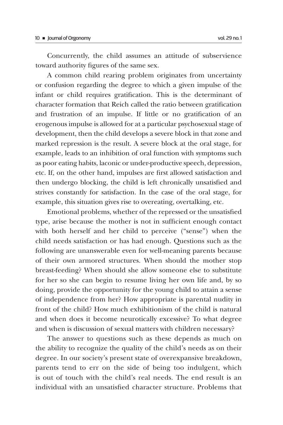Concurrently, the child assumes an attitude of subservience toward authority figures of the same sex.

A common child rearing problem originates from uncertainty or confusion regarding the degree to which a given impulse of the infant or child requires gratification. This is the determinant of character formation that Reich called the ratio between gratification and frustration of an impulse. If little or no gratification of an erogenous impulse is allowed for at a particular psychosexual stage of development, then the child develops a severe block in that zone and marked repression is the result. A severe block at the oral stage, for example, leads to an inhibition of oral function with symptoms such as poor eating habits, laconic or under-productive speech, depression, etc. If, on the other hand, impulses are first allowed satisfaction and then undergo blocking, the child is left chronically unsatisfied and strives constantly for satisfaction. In the case of the oral stage, for example, this situation gives rise to overeating, overtalking, etc.

Emotional problems, whether of the repressed or the unsatisfied type, arise because the mother is not in sufficient enough contact with both herself and her child to perceive ("sense") when the child needs satisfaction or has had enough. Questions such as the following are unanswerable even for well-meaning parents because of their own armored structures. When should the mother stop breast-feeding? When should she allow someone else to substitute for her so she can begin to resume living her own life and, by so doing, provide the opportunity for the young child to attain a sense of independence from her? How appropriate is parental nudity in front of the child? How much exhibitionism of the child is natural and when does it become neurotically excessive? To what degree and when is discussion of sexual matters with children necessary?

The answer to questions such as these depends as much on the ability to recognize the quality of the child's needs as on their degree. In our society's present state of overexpansive breakdown, parents tend to err on the side of being too indulgent, which is out of touch with the child's real needs. The end result is an individual with an unsatisfied character structure. Problems that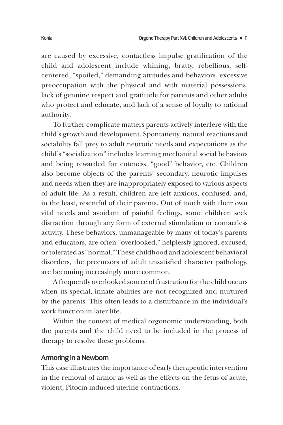are caused by excessive, contactless impulse gratification of the child and adolescent include whining, bratty, rebellious, selfcentered, "spoiled," demanding attitudes and behaviors, excessive preoccupation with the physical and with material possessions, lack of genuine respect and gratitude for parents and other adults who protect and educate, and lack of a sense of loyalty to rational authority.

To further complicate matters parents actively interfere with the child's growth and development. Spontaneity, natural reactions and sociability fall prey to adult neurotic needs and expectations as the child's "socialization" includes learning mechanical social behaviors and being rewarded for cuteness, "good" behavior, etc. Children also become objects of the parents' secondary, neurotic impulses and needs when they are inappropriately exposed to various aspects of adult life. As a result, children are left anxious, confused, and, in the least, resentful of their parents. Out of touch with their own vital needs and avoidant of painful feelings, some children seek distraction through any form of external stimulation or contactless activity. These behaviors, unmanageable by many of today's parents and educators, are often "overlooked," helplessly ignored, excused, or tolerated as "normal." These childhood and adolescent behavioral disorders, the precursors of adult unsatisfied character pathology, are becoming increasingly more common.

A frequently overlooked source of frustration for the child occurs when its special, innate abilities are not recognized and nurtured by the parents. This often leads to a disturbance in the individual's work function in later life.

Within the context of medical orgonomic understanding, both the parents and the child need to be included in the process of therapy to resolve these problems.

#### Armoring in a Newborn

This case illustrates the importance of early therapeutic intervention in the removal of armor as well as the effects on the fetus of acute, violent, Pitocin-induced uterine contractions.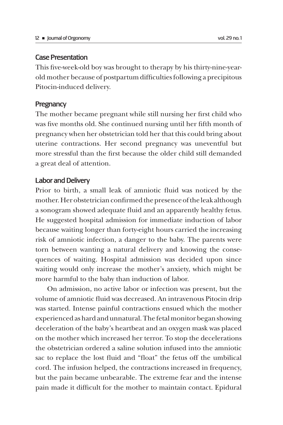# Case Presentation

This five-week-old boy was brought to therapy by his thirty-nine-yearold mother because of postpartum difficulties following a precipitous Pitocin-induced delivery.

# **Pregnancy**

The mother became pregnant while still nursing her first child who was five months old. She continued nursing until her fifth month of pregnancy when her obstetrician told her that this could bring about uterine contractions. Her second pregnancy was uneventful but more stressful than the first because the older child still demanded a great deal of attention.

# Labor and Delivery

Prior to birth, a small leak of amniotic fluid was noticed by the mother. Her obstetrician confirmed the presence of the leak although a sonogram showed adequate fluid and an apparently healthy fetus. He suggested hospital admission for immediate induction of labor because waiting longer than forty-eight hours carried the increasing risk of amniotic infection, a danger to the baby. The parents were torn between wanting a natural delivery and knowing the consequences of waiting. Hospital admission was decided upon since waiting would only increase the mother's anxiety, which might be more harmful to the baby than induction of labor.

On admission, no active labor or infection was present, but the volume of amniotic fluid was decreased. An intravenous Pitocin drip was started. Intense painful contractions ensued which the mother experienced as hard and unnatural. The fetal monitor began showing deceleration of the baby's heartbeat and an oxygen mask was placed on the mother which increased her terror. To stop the decelerations the obstetrician ordered a saline solution infused into the amniotic sac to replace the lost fluid and "float" the fetus off the umbilical cord. The infusion helped, the contractions increased in frequency, but the pain became unbearable. The extreme fear and the intense pain made it difficult for the mother to maintain contact. Epidural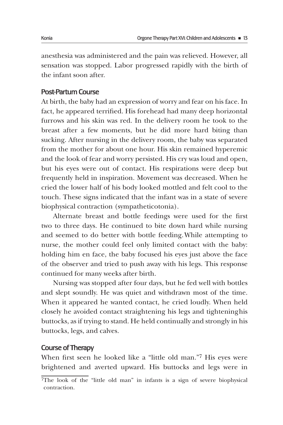anesthesia was administered and the pain was relieved. However, all sensation was stopped. Labor progressed rapidly with the birth of the infant soon after.

# Post-Partum Course

At birth, the baby had an expression of worry and fear on his face. In fact, he appeared terrified. His forehead had many deep horizontal furrows and his skin was red. In the delivery room he took to the breast after a few moments, but he did more hard biting than sucking. After nursing in the delivery room, the baby was separated from the mother for about one hour. His skin remained hyperemic and the look of fear and worry persisted. His cry was loud and open, but his eyes were out of contact. His respirations were deep but frequently held in inspiration. Movement was decreased. When he cried the lower half of his body looked mottled and felt cool to the touch. These signs indicated that the infant was in a state of severe biophysical contraction (sympatheticotonia).

Alternate breast and bottle feedings were used for the first two to three days. He continued to bite down hard while nursing and seemed to do better with bottle feeding. While attempting to nurse, the mother could feel only limited contact with the baby: holding him en face, the baby focused his eyes just above the face of the observer and tried to push away with his legs. This response continued for many weeks after birth.

Nursing was stopped after four days, but he fed well with bottles and slept soundly. He was quiet and withdrawn most of the time. When it appeared he wanted contact, he cried loudly. When held closely he avoided contact straightening his legs and tightening his buttocks, as if trying to stand. He held continually and strongly in his buttocks, legs, and calves.

## Course of Therapy

When first seen he looked like a "little old man."7 His eyes were brightened and averted upward. His buttocks and legs were in

<sup>7</sup>The look of the "little old man" in infants is a sign of severe biophysical contraction.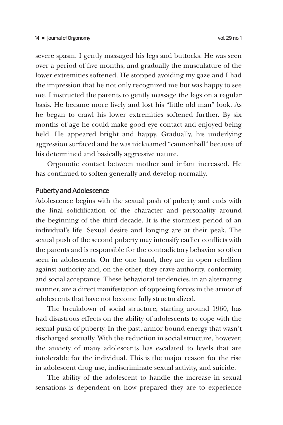severe spasm. I gently massaged his legs and buttocks. He was seen over a period of five months, and gradually the musculature of the lower extremities softened. He stopped avoiding my gaze and I had the impression that he not only recognized me but was happy to see me. I instructed the parents to gently massage the legs on a regular basis. He became more lively and lost his "little old man" look. As he began to crawl his lower extremities softened further. By six months of age he could make good eye contact and enjoyed being held. He appeared bright and happy. Gradually, his underlying aggression surfaced and he was nicknamed "cannonball" because of his determined and basically aggressive nature.

Orgonotic contact between mother and infant increased. He has continued to soften generally and develop normally.

#### Puberty and Adolescence

Adolescence begins with the sexual push of puberty and ends with the final solidification of the character and personality around the beginning of the third decade. It is the stormiest period of an individual's life. Sexual desire and longing are at their peak. The sexual push of the second puberty may intensify earlier conflicts with the parents and is responsible for the contradictory behavior so often seen in adolescents. On the one hand, they are in open rebellion against authority and, on the other, they crave authority, conformity, and social acceptance. These behavioral tendencies, in an alternating manner, are a direct manifestation of opposing forces in the armor of adolescents that have not become fully structuralized.

The breakdown of social structure, starting around 1960, has had disastrous effects on the ability of adolescents to cope with the sexual push of puberty. In the past, armor bound energy that wasn't discharged sexually. With the reduction in social structure, however, the anxiety of many adolescents has escalated to levels that are intolerable for the individual. This is the major reason for the rise in adolescent drug use, indiscriminate sexual activity, and suicide.

The ability of the adolescent to handle the increase in sexual sensations is dependent on how prepared they are to experience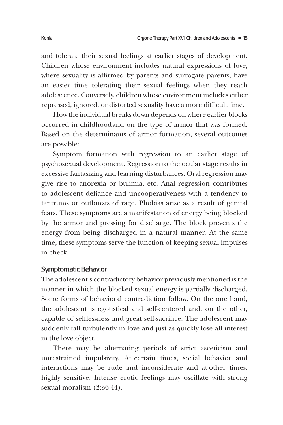and tolerate their sexual feelings at earlier stages of development. Children whose environment includes natural expressions of love, where sexuality is affirmed by parents and surrogate parents, have an easier time tolerating their sexual feelings when they reach adolescence. Conversely, children whose environment includes either repressed, ignored, or distorted sexuality have a more difficult time.

How the individual breaks down depends on where earlier blocks occurred in childhood and on the type of armor that was formed. Based on the determinants of armor formation, several outcomes are possible:

Symptom formation with regression to an earlier stage of psychosexual development. Regression to the ocular stage results in excessive fantasizing and learning disturbances. Oral regression may give rise to anorexia or bulimia, etc. Anal regression contributes to adolescent defiance and uncooperativeness with a tendency to tantrums or outbursts of rage. Phobias arise as a result of genital fears. These symptoms are a manifestation of energy being blocked by the armor and pressing for discharge. The block prevents the energy from being discharged in a natural manner. At the same time, these symptoms serve the function of keeping sexual impulses in check.

#### Symptomatic Behavior

The adolescent's contradictory behavior previously mentioned is the manner in which the blocked sexual energy is partially discharged. Some forms of behavioral contradiction follow. On the one hand, the adolescent is egotistical and self-centered and, on the other, capable of selflessness and great self-sacrifice. The adolescent may suddenly fall turbulently in love and just as quickly lose all interest in the love object.

There may be alternating periods of strict asceticism and unrestrained impulsivity. At certain times, social behavior and interactions may be rude and inconsiderate and at other times. highly sensitive. Intense erotic feelings may oscillate with strong sexual moralism (2:36-44).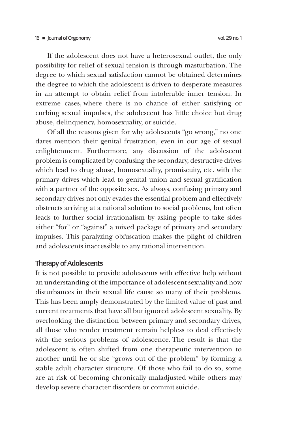If the adolescent does not have a heterosexual outlet, the only possibility for relief of sexual tension is through masturbation. The degree to which sexual satisfaction cannot be obtained determines the degree to which the adolescent is driven to desperate measures in an attempt to obtain relief from intolerable inner tension. In extreme cases, where there is no chance of either satisfying or curbing sexual impulses, the adolescent has little choice but drug abuse, delinquency, homosexuality, or suicide.

Of all the reasons given for why adolescents "go wrong," no one dares mention their genital frustration, even in our age of sexual enlightenment. Furthermore, any discussion of the adolescent problem is complicated by confusing the secondary, destructive drives which lead to drug abuse, homosexuality, promiscuity, etc. with the primary drives which lead to genital union and sexual gratification with a partner of the opposite sex. As always, confusing primary and secondary drives not only evades the essential problem and effectively obstructs arriving at a rational solution to social problems, but often leads to further social irrationalism by asking people to take sides either "for" or "against" a mixed package of primary and secondary impulses. This paralyzing obfuscation makes the plight of children and adolescents inaccessible to any rational intervention.

# Therapy of Adolescents

It is not possible to provide adolescents with effective help without an understanding of the importance of adolescent sexuality and how disturbances in their sexual life cause so many of their problems. This has been amply demonstrated by the limited value of past and current treatments that have all but ignored adolescent sexuality. By overlooking the distinction between primary and secondary drives, all those who render treatment remain helpless to deal effectively with the serious problems of adolescence. The result is that the adolescent is often shifted from one therapeutic intervention to another until he or she "grows out of the problem" by forming a stable adult character structure. Of those who fail to do so, some are at risk of becoming chronically maladjusted while others may develop severe character disorders or commit suicide.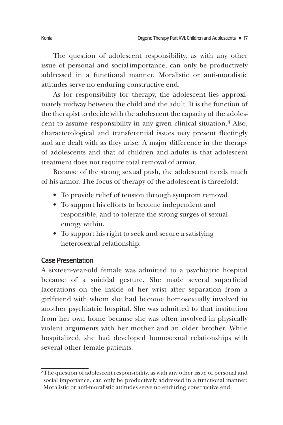The question of adolescent responsibility, as with any other issue of personal and social importance, can only be productively addressed in a functional manner. Moralistic or anti-moralistic attitudes serve no enduring constructive end.

As for responsibility for therapy, the adolescent lies approximately midway between the child and the adult. It is the function of the therapist to decide with the adolescent the capacity of the adolescent to assume responsibility in any given clinical situation.8 Also, characterological and transferential issues may present fleetingly and are dealt with as they arise. A major difference in the therapy of adolescents and that of children and adults is that adolescent treatment does not require total removal of armor.

Because of the strong sexual push, the adolescent needs much of his armor. The focus of therapy of the adolescent is threefold:

- To provide relief of tension through symptom removal.
- To support his efforts to become independent and responsible, and to tolerate the strong surges of sexual energy within.
- To support his right to seek and secure a satisfying heterosexual relationship.

# Case Presentation

A sixteen-year-old female was admitted to a psychiatric hospital because of a suicidal gesture. She made several superficial lacerations on the inside of her wrist after separation from a girlfriend with whom she had become homosexually involved in another psychiatric hospital. She was admitted to that institution from her own home because she was often involved in physically violent arguments with her mother and an older brother. While hospitalized, she had developed homosexual relationships with several other female patients.

<sup>8</sup>The question of adolescent responsibility, as with any other issue of personal and social importance, can only be productively addressed in a functional manner. Moralistic or anti-moralistic attitudes serve no enduring constructive end.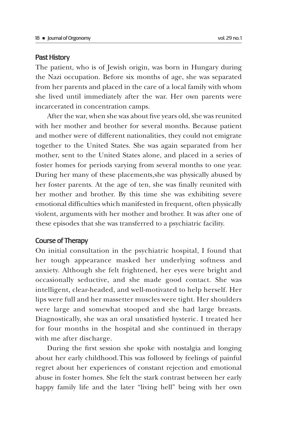#### Past History

The patient, who is of Jewish origin, was born in Hungary during the Nazi occupation. Before six months of age, she was separated from her parents and placed in the care of a local family with whom she lived until immediately after the war. Her own parents were incarcerated in concentration camps.

After the war, when she was about five years old, she was reunited with her mother and brother for several months. Because patient and mother were of different nationalities, they could not emigrate together to the United States. She was again separated from her mother, sent to the United States alone, and placed in a series of foster homes for periods varying from several months to one year. During her many of these placements, she was physically abused by her foster parents. At the age of ten, she was finally reunited with her mother and brother. By this time she was exhibiting severe emotional difficulties which manifested in frequent, often physically violent, arguments with her mother and brother. It was after one of these episodes that she was transferred to a psychiatric facility.

# Course of Therapy

On initial consultation in the psychiatric hospital, I found that her tough appearance masked her underlying softness and anxiety. Although she felt frightened, her eyes were bright and occasionally seductive, and she made good contact. She was intelligent, clear-headed, and well-motivated to help herself. Her lips were full and her massetter muscles were tight. Her shoulders were large and somewhat stooped and she had large breasts. Diagnostically, she was an oral unsatisfied hysteric. I treated her for four months in the hospital and she continued in therapy with me after discharge.

During the first session she spoke with nostalgia and longing about her early childhood. This was followed by feelings of painful regret about her experiences of constant rejection and emotional abuse in foster homes. She felt the stark contrast between her early happy family life and the later "living hell" being with her own